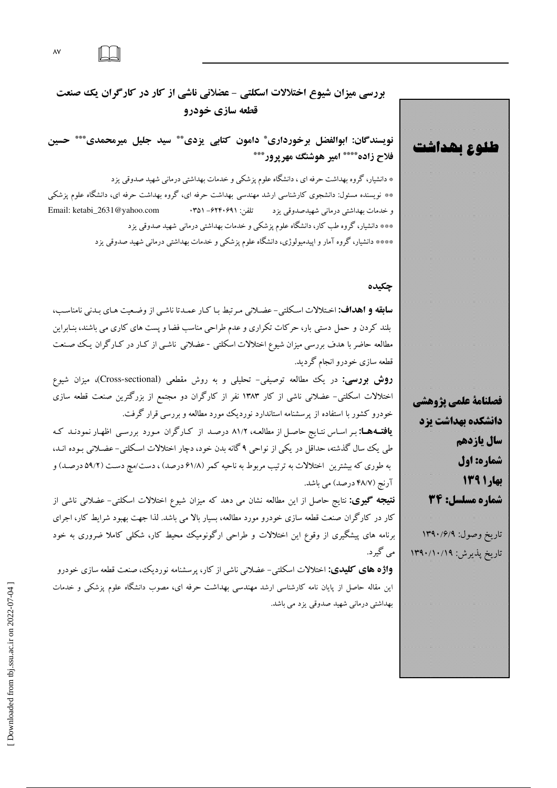$\lambda V$ 

بررسی میزان شیوع اختلالات اسکلتی - عضلانی ناشی از کار در کارگران یک صنعت قطعه سازي خودرو

نويسندگان: ابوالفضل برخورداري ٌ دامون كتابي يزدي ٌ ٌ سيد جليل ميرمحمدي ٌ \*\*\* حسين فلاح زاده\*\*\*\* امیر هوشنگ مهرپرور\*\*\*

\* دانشیار، گروه بهداشت حرفه ای ، دانشگاه علوم پزشکی و خدمات بهداشتی درمانی شهید صدوقی یزد \*\* نویسنده مسئول: دانشجوی کارشناسی ارشد مهندسی بهداشت حرفه ای، گروه بهداشت حرفه ای، دانشگاه علوم پزشکی Email: ketabi\_2631@yahoo.com و خدمات بهداشتی درمانی شهیدصدوقی یزد تلفن: ۰۳۵۱–۶۲۴۰۶۹۱ \*\*\* دانشیار، گروه طب کار، دانشگاه علوم پزشکی و خدمات بهداشتی درمانی شهید صدوقی یزد \*\*\*\* دانشیار، گروه آمار و اپیدمیولوژی، دانشگاه علوم پزشک<sub>ی</sub> و خدمات بهداشت<sub>ی</sub> درمان<sub>ی</sub> شهید صدوق<sub>ی</sub> یزد

#### چکیده

**سابقه و اهداف:** اختلالات اسكلتي- عضـلاني مـرتبط بـا كـار عمـدتا ناشـي از وضـعيت هـاي بـدني نامناسـب، بلند کردن و حمل دستی بار، حرکات تکراری و عدم طراحی مناسب فضا و پست های کاری می باشند، بنـابراین مطالعه حاضر با هدف بررسی میزان شیوع اختلالات اسکلتی -عضلانی ناشـی از کـار در کـارگران یـک صـنعت قطعه سازی خودرو انجام گردید.

**روش بررسی:** در یک مطالعه توصیفی- تحلیلی و به روش مقطعی (Cross-sectional)، میزان شیوع اختلالات اسکلتی- عضلانی ناشی از کار ۱۳۸۳ نفر از کارگران دو مجتمع از بزرگترین صنعت قطعه سازی خودرو کشور با استفاده از پرسشنامه استاندارد نوردیک مورد مطالعه و بررسی قرار گرفت.

**یافتـههـا:** بـر اسـاس نتـایج حاصـل از مطالعـه، ۸۱/۲ درصـد از کـارگران مـورد بررسـی اظهـار نمودنـد کـه طی یک سال گذشته، حداقل در یکی از نواحی ۹ گانه بدن خود، دچار اختلالات اسکلتی- عضلانی بـوده انـد، به طوری که بیشترین اختلالات به ترتیب مربوط به ناحیه کمر (۶۱/۸ درصد) ، دست/مچ دست (۵۹/۲ درصـد) و آرنج (۴۸/۷ درصد) می باشد.

**نتیجه گیری:** نتایج حاصل از این مطالعه نشان می دهد که میزان شیوع اختلالات اسکلتی- عضلانی ناشی از کار در کارگران صنعت قطعه سازی خودرو مورد مطالعه، بسیار بالا می باشد. لذا جهت بهبود شرایط کار، اجرای برنامه های پیشگیری از وقوع این اختلالات و طراحی ارگونومیک محیط کار، شکلی کاملا ضروری به خود مي گيرد.

**واژه های کلیدی:** اختلالات اسکلت<sub>ی</sub>- عضلانی ناشی از کار، پرسشنامه نوردیک، صنعت قطعه سازی خودرو این مقاله حاصل از پایان نامه کارشناسی ارشد مهندسی بهداشت حرفه ای، مصوب دانشگاه علوم پزشکی و خدمات بھداشتی درمانی شھید صدوقی یزد می باشد.

فصلنامة علمي يزوهشي دانشگده بهداشت یزد سال ياردهم شماره: اول بهار ۱۳۹۱ شماره مسلسل: 34 تاريخ وصول: ۱۳۹۰/۶/۹ تاريخ پذيرش: ۱۳۹۰/۱۰/۱۹

طلوع بهداشت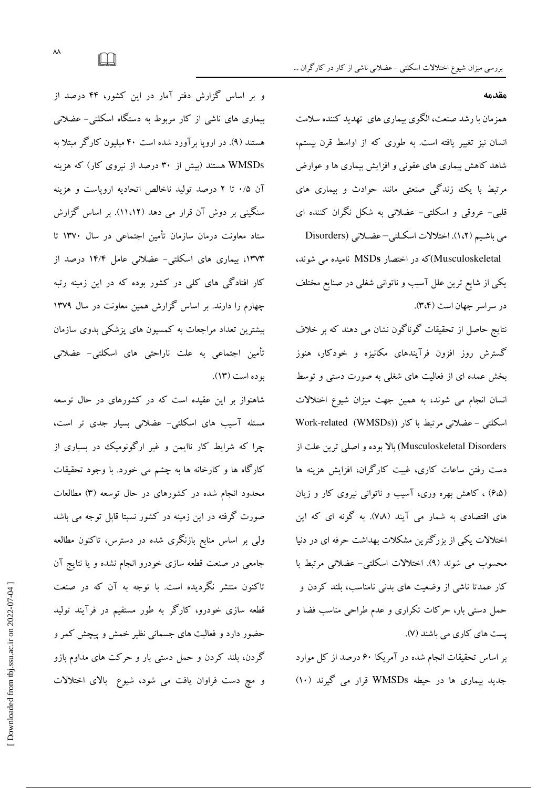مقدمه

همزمان با رشد صنعت، الگوی بیماری های تهدید کننده سلامت انسان نیز تغییر یافته است. به طوری که از اواسط قرن بیستم، شاهد کاهش بیماری های عفونی و افزایش بیماری ها و عوارض مرتبط با یک زندگی صنعتی مانند حوادث و بیماری های قلبی- عروقی و اسکلتی- عضلانی به شکل نگران کننده ای می باشیم (١،٢). اختلالات اسکلتی-عضلانی (Disorders

Musculoskeletal)که در اختصار MSDs نامیده می شوند، یکی از شایع ترین علل آسیب و ناتوانی شغلی در صنایع مختلف در سراسر جهان است (۳،۴).

نتایج حاصل از تحقیقات گوناگون نشان می دهند که بر خلاف گسترش روز افزون فرآیندهای مکانیزه و خودکار، هنوز بخش عمده ای از فعالیت های شغلی به صورت دستی و توسط انسان انجام می شوند، به همین جهت میزان شیوع اختلالات اسکلتی – عضلانی مرتبط با کار (WMSDs) Work-related Musculoskeletal Disorders) بالا بوده و اصلي ترين علت از دست رفتن ساعات کاری، غیبت کارگران، افزایش هزینه ها (۶،۵) ، کاهش بهره وری، آسیب و ناتوانی نیروی کار و زیان های اقتصادی به شمار می آیند (۷،۸). به گونه ای که این اختلالات یکی از بزرگترین مشکلات بهداشت حرفه ای در دنیا محسوب می شوند (۹). اختلالات اسکلتی- عضلانی مرتبط با کار عمدتا ناشی از وضعیت های بدنی نامناسب، بلند کردن و حمل دستی بار، حرکات تکراری و عدم طراحی مناسب فضا و پست های کاری می باشند (۷).

بر اساس تحقیقات انجام شده در آمریکا ۶۰ درصد از کل موارد جدید بیماری ها در حیطه WMSDs قرار می گیرند (۱۰)

و بر اساس گزارش دفتر آمار در این کشور، ۴۴ درصد از بیماری های ناشی از کار مربوط به دستگاه اسکلتی- عضلانی هستند (۹). در اروپا برآورد شده است ۴۰ میلیون کارگر مبتلا به WMSDs هستند (بیش از ۳۰ درصد از نیروی کار) که هزینه آن ۰/۵ تا ۲ درصد تولید ناخالص اتحادیه ارویاست و هزینه سنگینی بر دوش آن قرار می دهد (۱۱،۱۲). بر اساس گزارش ستاد معاونت درمان سازمان تأمین اجتماعی در سال ۱۳۷۰ تا ۱۳۷۳، بیماری های اسکلتی- عضلانی عامل ۱۴/۴ درصد از کار افتادگی های کلی در کشور بوده که در این زمینه رتبه چهارم را دارند. بر اساس گزارش همین معاونت در سال ۱۳۷۹ بیشترین تعداد مراجعات به کمسیون های پزشکی بدوی سازمان تأمین اجتماعی به علت ناراحتی های اسکلتی- عضلانی بوده است (١٣).

شاهنواز بر این عقیده است که در کشورهای در حال توسعه مسئله آسیب های اسکلتی- عضلانی بسیار جدی تر است، چرا که شرایط کار ناایمن و غیر ارگونومیک در بسیاری از کارگاه ها و کارخانه ها به چشم می خورد. با وجود تحقیقات محدود انجام شده در کشورهای در حال توسعه (۳) مطالعات صورت گرفته در این زمینه در کشور نسبتا قابل توجه می باشد ولی بر اساس منابع بازنگری شده در دسترس، تاکنون مطالعه جامعی در صنعت قطعه سازی خودرو انجام نشده و یا نتایج آن تاکنون منتشر نگردیده است. با توجه به آن که در صنعت قطعه سازی خودرو، کارگر به طور مستقیم در فرآیند تولید حضور دارد و فعالیت های جسمانی نظیر خمش و پیچش کمر و گردن، بلند کردن و حمل دستی بار و حرکت های مداوم بازو و مچ دست فراوان یافت می شود، شیوع بالای اختلالات

 $\Box$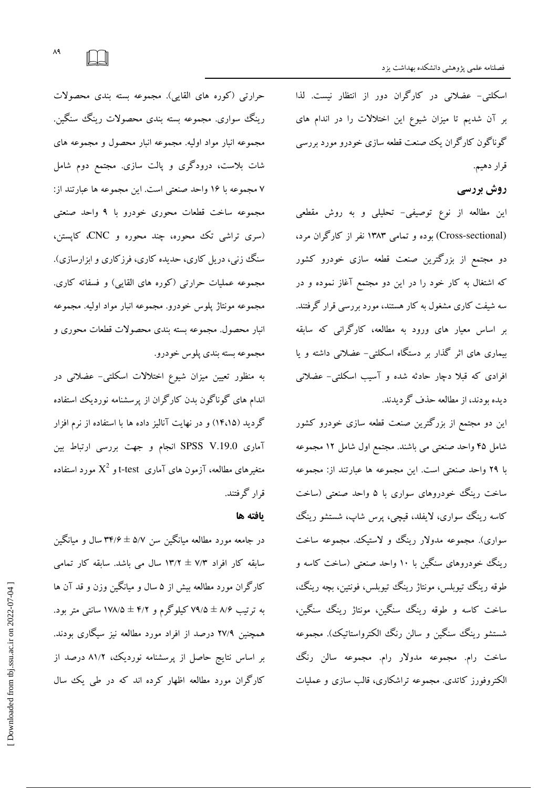اسکلتی- عضلانی در کارگران دور از انتظار نیست. لذا بر آن شدیم تا میزان شیوع این اختلالات را در اندام های گوناگون کارگران یک صنعت قطعه سازی خودرو مورد بررسی قرار دهيم.

# روش بررسي

این مطالعه از نوع توصیفی- تحلیلی و به روش مقطعی (Cross-sectional) بوده و تمامی ۱۳۸۳ نفر از کارگران مرد، دو مجتمع از بزرگترین صنعت قطعه سازی خودرو کشور که اشتغال به کار خود را در این دو مجتمع آغاز نموده و در سه شیفت کاری مشغول به کار هستند، مورد بررسی قرار گرفتند. بر اساس معیار های ورود به مطالعه، کارگرانی که سابقه بیماری های اثر گذار بر دستگاه اسکلتی- عضلانی داشته و پا افرادی که قبلا دچار حادثه شده و آسیب اسکلتی- عضلانی ديده بودند، از مطالعه حذف گرديدند.

این دو مجتمع از بزرگترین صنعت قطعه سازی خودرو کشور شامل ۴۵ واحد صنعتی می باشند. مجتمع اول شامل ۱۲ مجموعه با ٢٩ واحد صنعتي است. اين مجموعه ها عبارتند از: مجموعه ساخت رینگ خودروهای سواری با ۵ واحد صنعتی (ساخت کاسه رینگ سواری، لایفلد، قیچی، پرس شاپ، شستشو رینگ سواري). مجموعه مدولار رينگ و لاستيک. مجموعه ساخت رینگ خودروهای سنگین با ۱۰ واحد صنعتی (ساخت کاسه و طوقه رينگ تيوبلس، مونتاژ رينگ تيوبلس، فونتين، بچه رينگ، ساخت کاسه و طوقه رینگ سنگین، مونتاژ رینگ سنگین، شستشو رينگ سنگين و سالن رنگ الکترواستاتيک). مجموعه ساخت رام. مجموعه مدولار رام. مجموعه سالن رنگ<sup>ی</sup> الکتروفورز کاتدی. مجموعه تراشکاری، قالب سازی و عملیات

حرارتي (كوره هاي القايي). مجموعه بسته بندي محصولات رینگ سواری. مجموعه بسته بندی محصولات رینگ سنگین. مجموعه انبار مواد اوليه. مجموعه انبار محصول و مجموعه هاى شات بلاست، درودگری و پالت سازی. مجتمع دوم شامل ٧ مجموعه با ١۶ واحد صنعتي است. اين مجموعه ها عبارتند از: مجموعه ساخت قطعات محورى خودرو با ۹ واحد صنعتبي (سری تراشی تک محوره، چند محوره و CNC، کاپستن، سنگ زنبي، دريل کاري، حديده کاري، فرزکاري و ابزارسازي). مجموعه عملیات حرارتی (کوره های القایی) و فسفاته کاری. مجموعه مونتاژ پلوس خودرو. مجموعه انبار مواد اولیه. مجموعه انبار محصول. مجموعه بسته بندی محصولات قطعات محوری و مجموعه بسته بندي يلوس خودرو.

به منظور تعیین میزان شیوع اختلالات اسکلتی- عضلانی در اندام های گوناگون بدن کارگران از پرسشنامه نوردیک استفاده گردید (۱۴،۱۵) و در نهایت آنالیز داده ها با استفاده از نرم افزار آماری SPSS V.19.0 انجام و جهت بررسی ارتباط بین متغیرهای مطالعه، آزمون های آماری t-test و  $\mathrm{X}^2$  مورد استفاده قرار گرفتند.

#### يافته ها

در جامعه مورد مطالعه میانگین سن ۵/۷ ± ۳۴/۶ سال و میانگین سابقه کار افراد ۷/۳ ± ۱۳/۲ سال می باشد. سابقه کار تمامی کارگران مورد مطالعه بیش از ۵ سال و میانگین وزن و قد آن ها به ترتیب ۸/۶ ± ۷۹/۵ کیلوگرم و ۴/۲ ± ۱۷۸/۵ سانتی متر بود. همچنین ۲۷/۹ درصد از افراد مورد مطالعه نیز سیگاری بودند. بر اساس نتایج حاصل از پرسشنامه نوردیک، ۸۱/۲ درصد از کارگران مورد مطالعه اظهار کرده اند که در طی یک سال

 $\Lambda$ ٩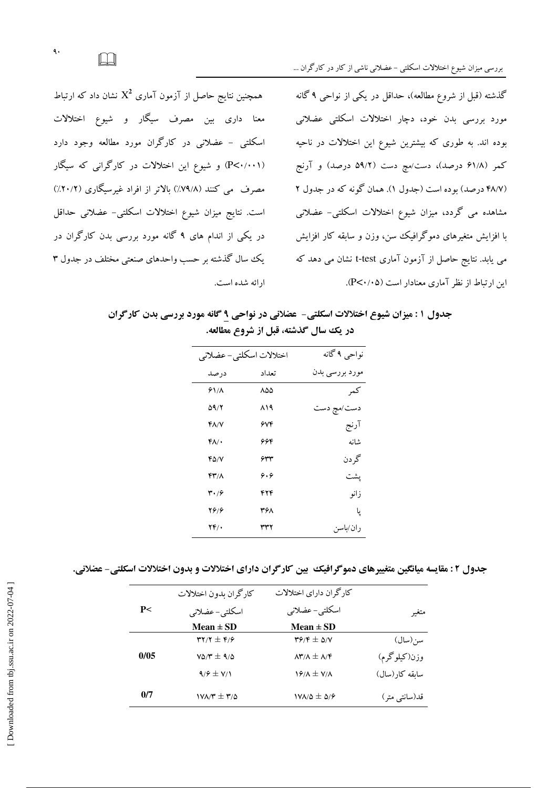همچنین نتایج حاصل از آزمون آماری  $X^2$  نشان داد که ارتباط معنا داری بین مصرف سیگار و شیوع اختلالات اسکلتی - عضلانی در کارگران مورد مطالعه وجود دارد (P<۰/۰۰۱) و شیوع این اختلالات در کارگرانی که سیگار مصرف می کنند (۷۹/۸٪) بالاتر از افراد غیرسیگاری (۲۰/۲٪) است. نتايج ميزان شيوع اختلالات اسكلتي- عضلاني حداقل در یکی از اندام های ۹ گانه مورد بررسی بدن کارگران در یک سال گذشته بر حسب واحدهای صنعتی مختلف در جدول ۳ ارائه شده است. گذشته (قبل از شروع مطالعه)، حداقل در یکی از نواحی ۹ گانه مورد بررسی بدن خود، دچار اختلالات اسکلتی عضلانی بوده اند. به طوری که بیشترین شیوع این اختلالات در ناحیه کمر (۶۱/۸ درصد)، دست/مچ دست (۵۹/۲ درصد) و آرنج (۴۸/۷ درصد) بوده است (جدول ۱). همان گونه که در جدول ۲ مشاهده می گردد، میزان شیوع اختلالات اسکلتی- عضلانی با افزایش متغیرهای دموگرافیک سن، وزن و سابقه کار افزایش می یابد. نتایج حاصل از آزمون آماری t-test نشان می دهد که این ارتباط از نظر آماری معنادار است (P<۰/۰۵).

جدول ۱ : میزان شیوع اختلالات اسکلتی- عضلانی در نواحی ۹ گانه مورد بررسی بدن کارگران در یک سال گذشته، قبل از شروع مطالعه.

| نواحی ۹ گانه<br>مورد بررسی بدن |
|--------------------------------|
|                                |
|                                |
| كمر                            |
| دست/مچ دست                     |
| آرنج                           |
| شانه                           |
| گر دن                          |
| يشت                            |
| زانو                           |
| یا                             |
| ر ان ⁄ماسن                     |
|                                |

جدول ٢ : مقايسه ميانگين متغييرهاي دموگرافيك ً بين كارگران داراي اختلالات و بدون اختلالات اسكلتي- عضلاني.

|       | کارگران پدون اختلالات        | كارگران داراي اختلالات                                                   |                |
|-------|------------------------------|--------------------------------------------------------------------------|----------------|
| P<    | اسكلتي- عضلاني               | اسكلتى- عضلانى                                                           | متغير          |
|       | Mean $\pm$ SD                | Mean $\pm$ SD                                                            |                |
|       | $YY/Y \pm Y$                 | $\mathbf{r} \mathbf{\hat{y}}/\mathbf{r} \pm \mathbf{\hat{y}}/\mathbf{v}$ | سن(سال)        |
| 0/0.5 | $V\Delta/\Upsilon \pm 9/2$   | $\Lambda$ ۳/ $\Lambda \pm \Lambda$ /۴                                    | وزن(کیلوگرم)   |
|       | $9/9 \pm 1/1$                | $Y/M \pm Y/M$                                                            | سابقه كار(سال) |
| 0/7   | $1$ V $\lambda$ /۳ $\pm$ ۳/۵ | $V_{\Lambda/\Delta} \pm \Delta/2$                                        | قد(سانتبی متر) |

 $\Box$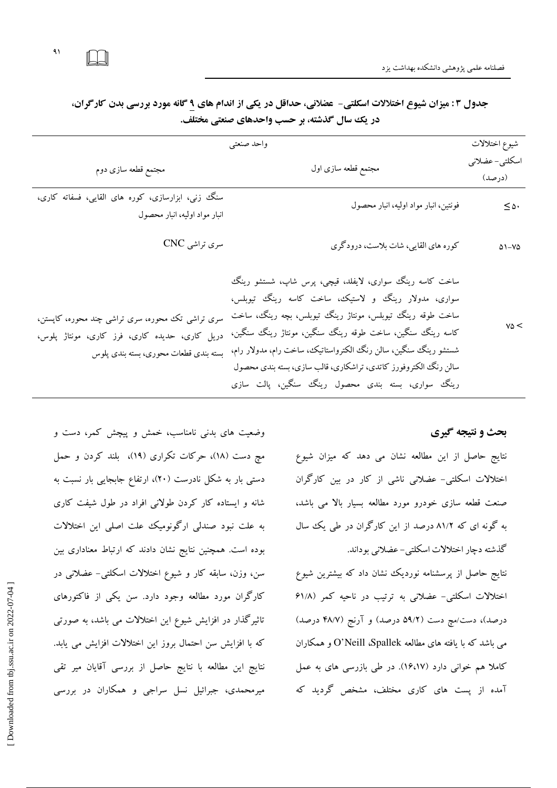$\lambda$ 

| واحد صنعتبي                                                                                                                                |                                                                                                                                                                                                                                                                                                                                                                                                                                     |                           |
|--------------------------------------------------------------------------------------------------------------------------------------------|-------------------------------------------------------------------------------------------------------------------------------------------------------------------------------------------------------------------------------------------------------------------------------------------------------------------------------------------------------------------------------------------------------------------------------------|---------------------------|
| مجتمع قطعه سازى دوم                                                                                                                        | مجتمع قطعه سازى اول                                                                                                                                                                                                                                                                                                                                                                                                                 | اسكلتي- عضلاني<br>(درصد)  |
| سنگ زنبی، ابزارسازی، کوره های القایبی، فسفاته کاری،<br>انبار مواد اوليه، انبار محصول                                                       | فونتین، انبار مواد اولیه، انبار محصول                                                                                                                                                                                                                                                                                                                                                                                               | $\leq$ $\vartriangle$ .   |
| سری تراشی CNC                                                                                                                              | کوره های القایی، شات بلاست، درودگری                                                                                                                                                                                                                                                                                                                                                                                                 | $\Delta$ \ $-$ V $\Delta$ |
| سری تراشی تک محوره، سری تراشی چند محوره، کاپستن،<br>دریل کاری، حدیده کاری، فرز کاری، مونتاژ پلوس،<br>بسته بندى قطعات محورى، بسته بندى پلوس | ساخت کاسه رینگ سواری، لایفلد، قیچی، پرس شاپ، شستشو رینگ<br>سواری، مدولار رینگ و لاستیک، ساخت کاسه رینگ تیوبلس،<br>ساخت طوقه رینگ تیوبلس، مونتاژ رینگ تیوبلس، بچه رینگ، ساخت<br>کاسه رینگ سنگین، ساخت طوقه رینگ سنگین، مونتاژ رینگ سنگین،<br>شستشو رینگ سنگین، سالن رنگ الکترواستاتیک، ساخت رام، مدولار رام،<br>سالن رنگ الکتروفورز کاتدی، تراشکاری، قالب سازی، بسته بندی محصول<br>رینگ سواری، بسته بندی محصول رینگ سنگین، پالت سازی | $v \delta <$              |

جدول ۳ : میزان شیوع اختلالات اسکلتی- عضلانی، حداقل در یکی از اندام های ۹ گانه مورد بررسی بدن کارگران، در یک سال گذشته، بر حسب واحدهای صنعتی مختلف.

### بحث و نتیجه گیری

نتایج حاصل از این مطالعه نشان می دهد که میزان شیوع اختلالات اسکلتی- عضلانی ناشی از کار در بین کارگران صنعت قطعه سازی خودرو مورد مطالعه بسیار بالا می باشد، به گونه ای که ۸۱/۲ درصد از این کارگران در طی یک سال گذشته دچار اختلالات اسکلتی-عضلانی بوداند.

نتایج حاصل از پرسشنامه نوردیک نشان داد که بیشترین شیوع اختلالات اسکلتی- عضلانی به ترتیب در ناحیه کمر (۶۱/۸ درصد)، دست/مچ دست (۵۹/۲ درصد) و آرنج (۴۸/۷ درصد) می باشد که با یافته های مطالعه O'Neill ،Spallek و همکاران کاملا هم خوانی دارد (۱۶،۱۷). در طی بازرسی های به عمل آمده از یست های کاری مختلف، مشخص گردید که

وضعیت های بدنی نامناسب، خمش و پیچش کمر، دست و مچ دست (١٨)، حركات تكراري (١٩)، بلند كردن و حمل دستی بار به شکل نادرست (۲۰)، ارتفاع جابجایی بار نسبت به شانه و ایستاده کار کردن طولانی افراد در طول شیفت کاری به علت نبود صندلی ارگونومیک علت اصلی این اختلالات بوده است. همچنین نتایج نشان دادند که ارتباط معناداری بین سن، وزن، سابقه کار و شیوع اختلالات اسکلتی- عضلانی در کارگران مورد مطالعه وجود دارد. سن یکی از فاکتورهای تاثیرگذار در افزایش شیوع این اختلالات می باشد، به صورتی كه با افزايش سن احتمال بروز اين اختلالات افزايش مى يابد. نتايج اين مطالعه با نتايج حاصل از بررسي آقايان مير تقى میرمحمدی، جبرائیل نسل سراجی و همکاران در بررسی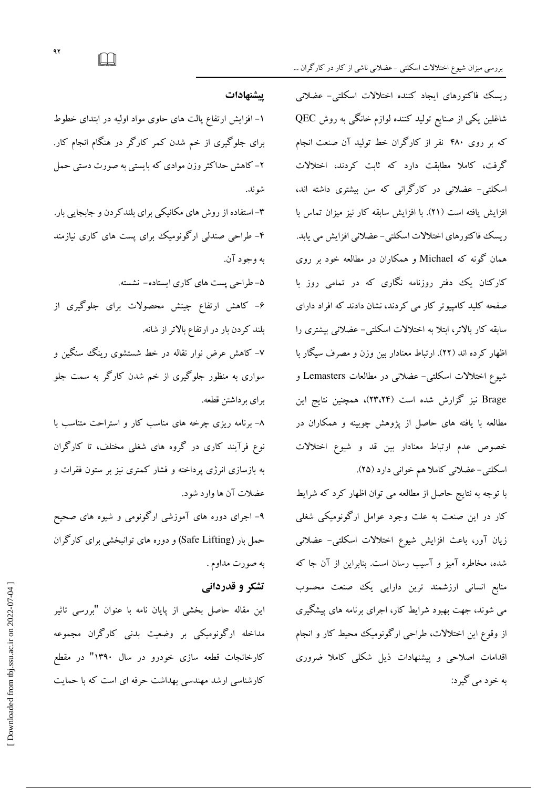ریسک فاکتورهای ایجاد کننده اختلالات اسکلتی- عضلانی شاغلین یکی از صنایع تولید کننده لوازم خانگی به روش QEC که بر روی ۴۸۰ نفر از کارگران خط تولید آن صنعت انجام گرفت، کاملا مطابقت دارد که ثابت کردند، اختلالات اسکلتی- عضلانی در کارگرانی که سن بیشتری داشته اند، افزایش یافته است (۲۱). با افزایش سابقه کار نیز میزان تماس با ریسک فاکتورهای اختلالات اسکلتی-عضلانی افزایش می یابد. همان گونه که Michael و همکاران در مطالعه خود بر روی کارکنان یک دفتر روزنامه نگاری که در تمامی روز با صفحه کلید کامپیوتر کار می کردند، نشان دادند که افراد دارای سابقه کار بالاتر، ابتلا به اختلالات اسکلتی- عضلانی بیشتری را اظهار کرده اند (۲۲). ارتباط معنادار بین وزن و مصرف سیگار با شیوع اختلالات اسکلتی- عضلانی در مطالعات Lemasters و Brage نیز گزارش شده است (۲۴،۲۴)، همچنین نتایج این مطالعه با یافته های حاصل از پژوهش چوبینه و همکاران در خصوص عدم ارتباط معنادار بين قد و شيوع اختلالات اسکلتی-عضلانی کاملا هم خوانی دارد (۲۵).

با توجه به نتایج حاصل از مطالعه می توان اظهار کرد که شرایط کار در این صنعت به علت وجود عوامل ارگونومیکی شغلی زیان آور، باعث افزایش شیوع اختلالات اسکلتی- عضلانی شده، مخاطره آمیز و آسیب رسان است. بنابراین از آن جا که منابع انسانی ارزشمند ترین دارایی یک صنعت محسوب می شوند، جهت بهبود شرایط کار، اجرای برنامه های پیشگیری از وقوع این اختلالات، طراحی ارگونومیک محیط کار و انجام اقدامات اصلاحی و پیشنهادات ذیل شکلی کاملا ضروری به خود مې گيرد:

### ييشنهادات

۱– افزایش ارتفاع یالت های حاوی مواد اولیه در ابتدای خطوط برای جلوگیری از خم شدن کمر کارگر در هنگام انجام کار. ۲– کاهش حداکثر وزن موادی که بایستی به صورت دستی حمل شو ند.

۳– استفاده از روش های مکانیکی برای بلندکردن و جابجایی بار. ۴- طراحی صندلی ارگونومیک برای پست های کاری نیازمند به وجود آن.

۵– طراحی پست های کاری ایستاده– نشسته.

۶- کاهش ارتفاع چینش محصولات برای جلوگیری از بلند کردن بار در ارتفاع بالاتر از شانه.

۷- کاهش عرض نوار نقاله در خط شستشوی رینگ سنگین و سواری به منظور جلوگیری از خم شدن کارگر به سمت جلو براي برداشتن قطعه.

۸- برنامه ریزی چرخه های مناسب کار و استراحت متناسب با نوع فرآیند کاری در گروه های شغلی مختلف، تا کارگران به بازسازی انرژی پرداخته و فشار کمتری نیز بر ستون فقرات و عضلات آن ها وارد شود.

۹- اجرای دوره های آموزشی ارگونومی و شبوه های صحیح حمل بار (Safe Lifting) و دوره های توانبخشی برای کارگران به صورت مداوم .

# تشکر و قدردانی

این مقاله حاصل بخشی از پایان نامه با عنوان "بررسی تاثیر مداخله ارگونومیکی بر وضعیت بدنی کارگران مجموعه کارخانجات قطعه سازی خودرو در سال ۱۳۹۰" در مقطع کارشناسی ارشد مهندسی بهداشت حرفه ای است که با حمایت

 $\Box$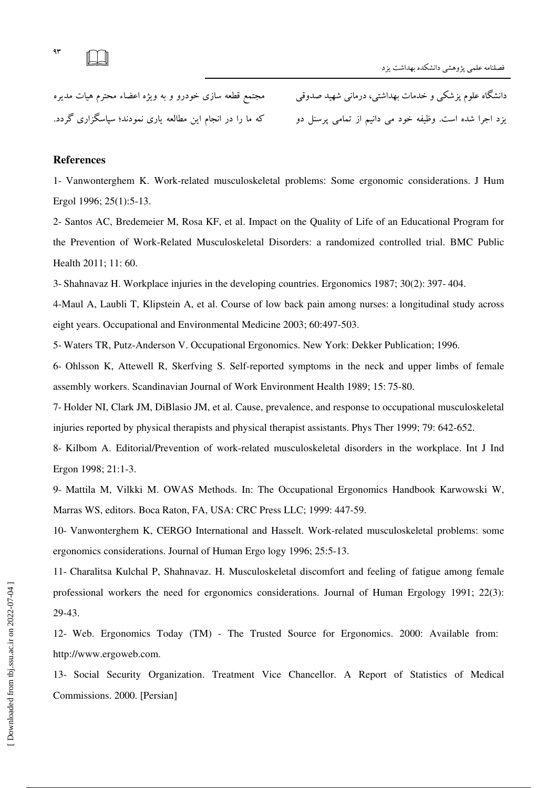

دانشگاه علوم پزشکی و خدمات بهداشتی، درمانی شهید صدوقی مجتمع قطعه سازی خودرو و به ویژه اعضاء محترم هیات مدیره

یزد اجرا شده است. وظیفه خود می دانیم از تمامی پرسنل دو که ما را در انجام این مطالعه یاری نمودند؛ سپاسگزاری گردد.

### References

1- Vanwonterghem K. Work-related musculoskeletal problems: Some ergonomic considerations. J Hum Ergol 1996; 25(1):5-13.

2- Santos AC, Bredemeier M, Rosa KF, et al Impact on the Quality of Life of an Educational Program for the Prevention of Work-Related Musculoskeletal Disorders: a randomized controlled trial. BMC Public Health 2011; 11: 60.

3- Shahnavaz H. Workplace injuries in the developing countries. Ergonomics 1987; 30(2): 397- 404.

4-Maul A, Laubli T, Klipstein A, et al. Course of low back pain among nurses: a longitudinal study across eight years. Occupational and Environmental Medicine 2003; 60:497-503.

5- Waters TR, Putz-Anderson V. Occupational Ergonomics. New York: Dekker Publication; 1996.

6- Ohlsson K, Attewell R, Skerfving S. Self-reported symptoms in the neck and upper limbs of female assembly workers. Scandinavian Journal of Work Environment Health 1989; 15: 75-80.

7- Holder NI, Clark JM, DiBlasio JM, et al. Cause, prevalence, and response to occupational musculoskeletal injuries reported by physical therapists and physical therapist assistants. Phys Ther 1999; 79: 642-652.

8- Kilbom A. Editorial/Prevention of work-related musculoskeletal disorders in the workplace. Int J Ind Ergon 1998; 21:1-3.

9- Mattila M, Vilkki M. OWAS Methods. In: The Occupational Ergonomics Handbook Karwowski W, Marras WS, editors. Boca Raton, FA, USA: CRC Press LLC; 1999: 447-59.

10- Vanwonterghem K, CERGO International and Hasselt. Work-related musculoskeletal problems: some ergonomics considerations. Journal of Human Ergo logy 1996; 25:5-13.

11- Charalitsa Kulchal P, Shahnavaz. H. Musculoskeletal discomfort and feeling of fatigue among female professional workers the need for ergonomics considerations. Journal of Human Ergology 1991; 22(3): 29-43.

12- Web. Ergonomics Today (TM) - The Trusted Source for Ergonomics. 2000: Available from: http://www.ergoweb.com.

13- Social Security Organization. Treatment Vice Chancellor. A Report of Statistics of Medical Commissions. 2000. [Persian]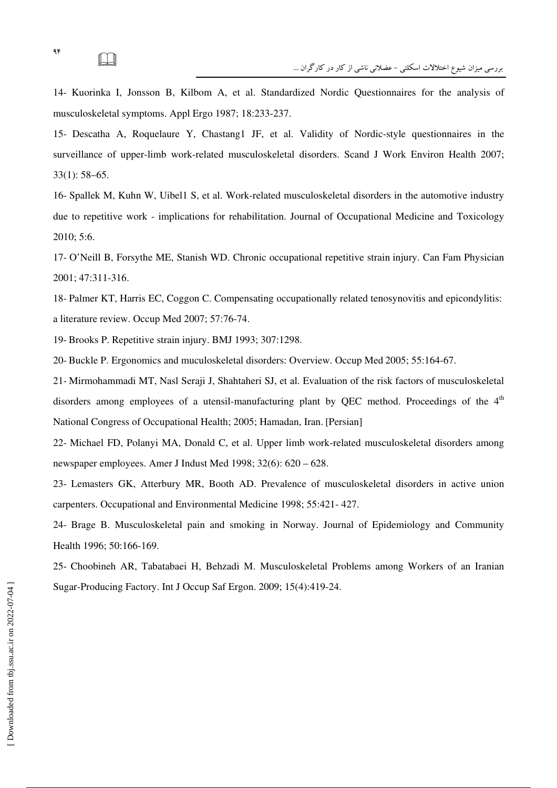14- Kuorinka I, Jonsson B, Kilbom A, et al. Standardized Nordic Questionnaires for the analysis of musculoskeletal symptoms. Appl Ergo 1987; 18:233-237.

15- Descatha A, Roquelaure Y, Chastang1 JF, et al. Validity of Nordic-style questionnaires in the surveillance of upper-limb work-related musculoskeletal disorders. Scand J Work Environ Health 2007; 33(1): 58–65.

16- Spallek M, Kuhn W, Uibel1 S, et al. Work-related musculoskeletal disorders in the automotive industry due to repetitive work - implications for rehabilitation. Journal of Occupational Medicine and Toxicology 2010; 5:6.

17- O'Neill B, Forsythe ME, Stanish WD. Chronic occupational repetitive strain injury. Can Fam Physician 2001; 47:311-316.

18- Palmer KT, Harris EC, Coggon C. Compensating occupationally related tenosynovitis and epicondylitis: a literature review. Occup Med 2007; 57:76-74.

19- Brooks P. Repetitive strain injury. BMJ 1993; 307:1298.

20- Buckle P. Ergonomics and muculoskeletal disorders: Overview. Occup Med 2005; 55:164-67.

21- Mirmohammadi MT, Nasl Seraji J, Shahtaheri SJ, et al. Evaluation of the risk factors of musculoskeletal disorders among employees of a utensil-manufacturing plant by QEC method. Proceedings of the  $4<sup>th</sup>$ National Congress of Occupational Health; 2005; Hamadan, Iran. [Persian]

22- Michael FD, Polanyi MA, Donald C, et al. Upper limb work-related musculoskeletal disorders among newspaper employees. Amer J Indust Med 1998; 32(6): 620 – 628.

23- Lemasters GK, Atterbury MR, Booth AD. Prevalence of musculoskeletal disorders in active union carpenters. Occupational and Environmental Medicine 1998; 55:421- 427.

24- Brage B. Musculoskeletal pain and smoking in Norway. Journal of Epidemiology and Community Health 1996; 50:166-169.

25- Choobineh AR, Tabatabaei H, Behzadi M. Musculoskeletal Problems among Workers of an Iranian Sugar-Producing Factory. Int J Occup Saf Ergon. 2009; 15(4):419-24.